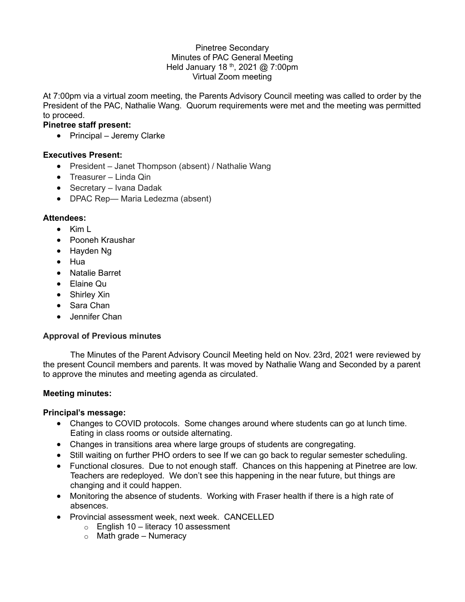#### Pinetree Secondary Minutes of PAC General Meeting Held January 18<sup>th</sup>, 2021 @ 7:00pm Virtual Zoom meeting

At 7:00pm via a virtual zoom meeting, the Parents Advisory Council meeting was called to order by the President of the PAC, Nathalie Wang. Quorum requirements were met and the meeting was permitted to proceed.

## **Pinetree staff present:**

• Principal – Jeremy Clarke

### **Executives Present:**

- President Janet Thompson (absent) / Nathalie Wang
- Treasurer Linda Qin
- Secretary Ivana Dadak
- DPAC Rep— Maria Ledezma (absent)

### **Attendees:**

- Kim L
- Pooneh Kraushar
- Hayden Ng
- Hua
- Natalie Barret
- Elaine Qu
- Shirley Xin
- Sara Chan
- Jennifer Chan

### **Approval of Previous minutes**

The Minutes of the Parent Advisory Council Meeting held on Nov. 23rd, 2021 were reviewed by the present Council members and parents. It was moved by Nathalie Wang and Seconded by a parent to approve the minutes and meeting agenda as circulated.

### **Meeting minutes:**

### **Principal's message:**

- Changes to COVID protocols. Some changes around where students can go at lunch time. Eating in class rooms or outside alternating.
- Changes in transitions area where large groups of students are congregating.
- Still waiting on further PHO orders to see If we can go back to regular semester scheduling.
- Functional closures. Due to not enough staff. Chances on this happening at Pinetree are low. Teachers are redeployed. We don't see this happening in the near future, but things are changing and it could happen.
- Monitoring the absence of students. Working with Fraser health if there is a high rate of absences.
- Provincial assessment week, next week. CANCELLED
	- $\circ$  English 10 literacy 10 assessment
	- $\circ$  Math grade Numeracy